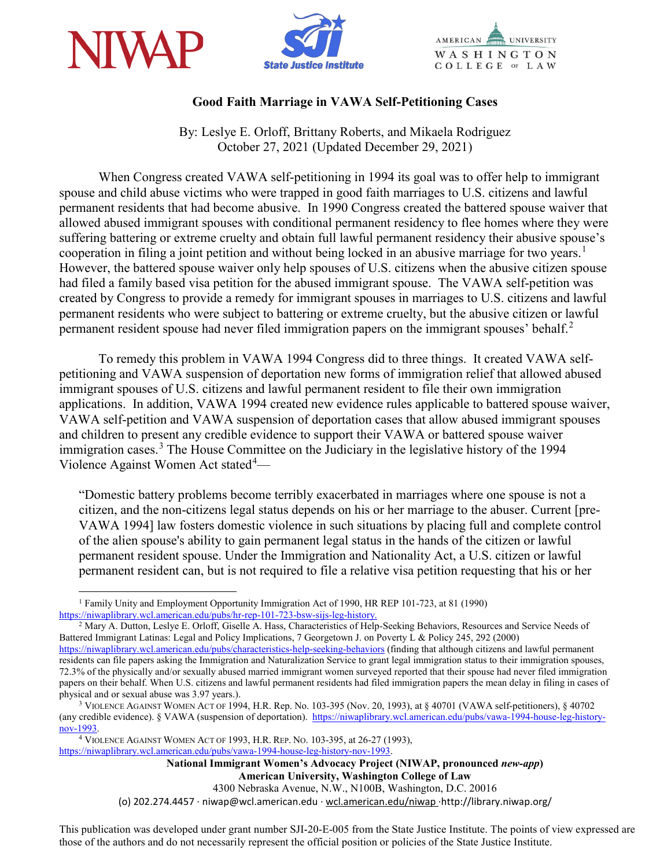





# **Good Faith Marriage in VAWA Self-Petitioning Cases**

By: Leslye E. Orloff, Brittany Roberts, and Mikaela Rodriguez October 27, 2021 (Updated December 29, 2021)

When Congress created VAWA self-petitioning in 1994 its goal was to offer help to immigrant spouse and child abuse victims who were trapped in good faith marriages to U.S. citizens and lawful permanent residents that had become abusive. In 1990 Congress created the battered spouse waiver that allowed abused immigrant spouses with conditional permanent residency to flee homes where they were suffering battering or extreme cruelty and obtain full lawful permanent residency their abusive spouse's cooperation in filing a joint petition and without being locked in an abusive marriage for two years.<sup>[1](#page-0-0)</sup> However, the battered spouse waiver only help spouses of U.S. citizens when the abusive citizen spouse had filed a family based visa petition for the abused immigrant spouse. The VAWA self-petition was created by Congress to provide a remedy for immigrant spouses in marriages to U.S. citizens and lawful permanent residents who were subject to battering or extreme cruelty, but the abusive citizen or lawful permanent resident spouse had never filed immigration papers on the immigrant spouses' behalf.<sup>[2](#page-0-1)</sup>

To remedy this problem in VAWA 1994 Congress did to three things. It created VAWA selfpetitioning and VAWA suspension of deportation new forms of immigration relief that allowed abused immigrant spouses of U.S. citizens and lawful permanent resident to file their own immigration applications. In addition, VAWA 1994 created new evidence rules applicable to battered spouse waiver, VAWA self-petition and VAWA suspension of deportation cases that allow abused immigrant spouses and children to present any credible evidence to support their VAWA or battered spouse waiver immigration cases.<sup>[3](#page-0-2)</sup> The House Committee on the Judiciary in the legislative history of the 1994 Violence Against Women Act stated<sup>[4](#page-0-3)</sup>-

"Domestic battery problems become terribly exacerbated in marriages where one spouse is not a citizen, and the non-citizens legal status depends on his or her marriage to the abuser. Current [pre-VAWA 1994] law fosters domestic violence in such situations by placing full and complete control of the alien spouse's ability to gain permanent legal status in the hands of the citizen or lawful permanent resident spouse. Under the Immigration and Nationality Act, a U.S. citizen or lawful permanent resident can, but is not required to file a relative visa petition requesting that his or her

<span id="page-0-1"></span><sup>2</sup> Mary A. Dutton, Leslye E. Orloff, Giselle A. Hass, Characteristics of Help-Seeking Behaviors, Resources and Service Needs of Battered Immigrant Latinas: Legal and Policy Implications, 7 Georgetown J. on Poverty L & Policy 245, 292 (2000) <https://niwaplibrary.wcl.american.edu/pubs/characteristics-help-seeking-behaviors> (finding that although citizens and lawful permanent residents can file papers asking the Immigration and Naturalization Service to grant legal immigration status to their immigration spouses,

72.3% of the physically and/or sexually abused married immigrant women surveyed reported that their spouse had never filed immigration papers on their behalf. When U.S. citizens and lawful permanent residents had filed immigration papers the mean delay in filing in cases of physical and or sexual abuse was 3.97 years.).<br><sup>3</sup> VIOLENCE AGAINST WOMEN ACT OF 1994, H.R. Rep. No. 103-395 (Nov. 20, 1993), at § 40701 (VAWA self-petitioners), § 40702

<span id="page-0-3"></span><sup>4</sup> VIOLENCE AGAINST WOMEN ACT OF 1993, H.R. REP. NO. 103-395, at 26-27 (1993), [https://niwaplibrary.wcl.american.edu/pubs/vawa-1994-house-leg-history-nov-1993.](https://niwaplibrary.wcl.american.edu/pubs/vawa-1994-house-leg-history-nov-1993)

**National Immigrant Women's Advocacy Project (NIWAP, pronounced** *new-app***) American University, Washington College of Law**

4300 Nebraska Avenue, N.W., N100B, Washington, D.C. 20016

(o) 202.274.4457 · niwap@wcl.american.edu · wcl.american.edu/niwap ·http://library.niwap.org/

This publication was developed under grant number SJI-20-E-005 from the State Justice Institute. The points of view expressed are those of the authors and do not necessarily represent the official position or policies of the State Justice Institute.

<span id="page-0-0"></span><sup>&</sup>lt;sup>1</sup> Family Unity and Employment Opportunity Immigration Act of 1990, HR REP 101-723, at 81 (1990) https://niwaplibrary.wel.american.edu/pubs/hr-rep-101-723-bsw-sijs-leg-history.

<span id="page-0-2"></span><sup>(</sup>any credible evidence). § VAWA (suspension of deportation). [https://niwaplibrary.wcl.american.edu/pubs/vawa-1994-house-leg-history](https://niwaplibrary.wcl.american.edu/pubs/vawa-1994-house-leg-history-nov-1993)[nov-1993.](https://niwaplibrary.wcl.american.edu/pubs/vawa-1994-house-leg-history-nov-1993)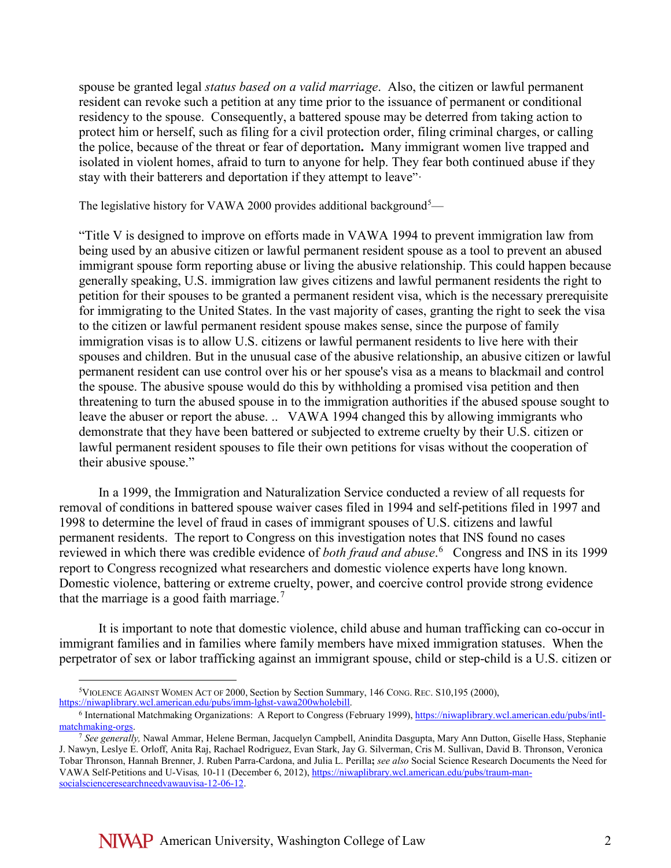spouse be granted legal *status based on a valid marriage*. Also, the citizen or lawful permanent resident can revoke such a petition at any time prior to the issuance of permanent or conditional residency to the spouse. Consequently, a battered spouse may be deterred from taking action to protect him or herself, such as filing for a civil protection order, filing criminal charges, or calling the police, because of the threat or fear of deportation**.** Many immigrant women live trapped and isolated in violent homes, afraid to turn to anyone for help. They fear both continued abuse if they stay with their batterers and deportation if they attempt to leave"·

The legislative history for VAWA 2000 provides additional background<sup>[5](#page-1-0)</sup>—

"Title V is designed to improve on efforts made in VAWA 1994 to prevent immigration law from being used by an abusive citizen or lawful permanent resident spouse as a tool to prevent an abused immigrant spouse form reporting abuse or living the abusive relationship. This could happen because generally speaking, U.S. immigration law gives citizens and lawful permanent residents the right to petition for their spouses to be granted a permanent resident visa, which is the necessary prerequisite for immigrating to the United States. In the vast majority of cases, granting the right to seek the visa to the citizen or lawful permanent resident spouse makes sense, since the purpose of family immigration visas is to allow U.S. citizens or lawful permanent residents to live here with their spouses and children. But in the unusual case of the abusive relationship, an abusive citizen or lawful permanent resident can use control over his or her spouse's visa as a means to blackmail and control the spouse. The abusive spouse would do this by withholding a promised visa petition and then threatening to turn the abused spouse in to the immigration authorities if the abused spouse sought to leave the abuser or report the abuse. .. VAWA 1994 changed this by allowing immigrants who demonstrate that they have been battered or subjected to extreme cruelty by their U.S. citizen or lawful permanent resident spouses to file their own petitions for visas without the cooperation of their abusive spouse."

In a 1999, the Immigration and Naturalization Service conducted a review of all requests for removal of conditions in battered spouse waiver cases filed in 1994 and self-petitions filed in 1997 and 1998 to determine the level of fraud in cases of immigrant spouses of U.S. citizens and lawful permanent residents. The report to Congress on this investigation notes that INS found no cases reviewed in which there was credible evidence of *both fraud and abuse*. [6](#page-1-1) Congress and INS in its 1999 report to Congress recognized what researchers and domestic violence experts have long known. Domestic violence, battering or extreme cruelty, power, and coercive control provide strong evidence that the marriage is a good faith marriage.<sup>[7](#page-1-2)</sup>

It is important to note that domestic violence, child abuse and human trafficking can co-occur in immigrant families and in families where family members have mixed immigration statuses. When the perpetrator of sex or labor trafficking against an immigrant spouse, child or step-child is a U.S. citizen or

 <sup>5</sup>VIOLENCE AGAINST WOMEN ACT OF 2000, Section by Section Summary, 146 CONG. REC. S10,195 (2000),

<span id="page-1-1"></span><span id="page-1-0"></span>[https://niwaplibrary.wcl.american.edu/pubs/imm-lghst-vawa200wholebill.](https://niwaplibrary.wcl.american.edu/pubs/imm-lghst-vawa200wholebill)<br><sup>6</sup> International Matchmaking Organizations: A Report to Congress (February 1999), https://niwaplibrary.wcl.american.edu/pubs/intl-<br>matchmaking-orgs.

<span id="page-1-2"></span><sup>&</sup>lt;sup>7</sup> See generally, Nawal Ammar, Helene Berman, Jacquelyn Campbell, Anindita Dasgupta, Mary Ann Dutton, Giselle Hass, Stephanie J. Nawyn, Leslye E. Orloff, Anita Raj, Rachael Rodriguez, Evan Stark, Jay G. Silverman, Cris M. Sullivan, David B. Thronson, Veronica Tobar Thronson, Hannah Brenner, J. Ruben Parra-Cardona, and Julia L. Perilla**;** *see also* Social Science Research Documents the Need for VAWA Self-Petitions and U-Visas*,* 10-11 (December 6, 2012)[, https://niwaplibrary.wcl.american.edu/pubs/traum-man](https://niwaplibrary.wcl.american.edu/pubs/traum-man-socialscienceresearchneedvawauvisa-12-06-12)[socialscienceresearchneedvawauvisa-12-06-12.](https://niwaplibrary.wcl.american.edu/pubs/traum-man-socialscienceresearchneedvawauvisa-12-06-12)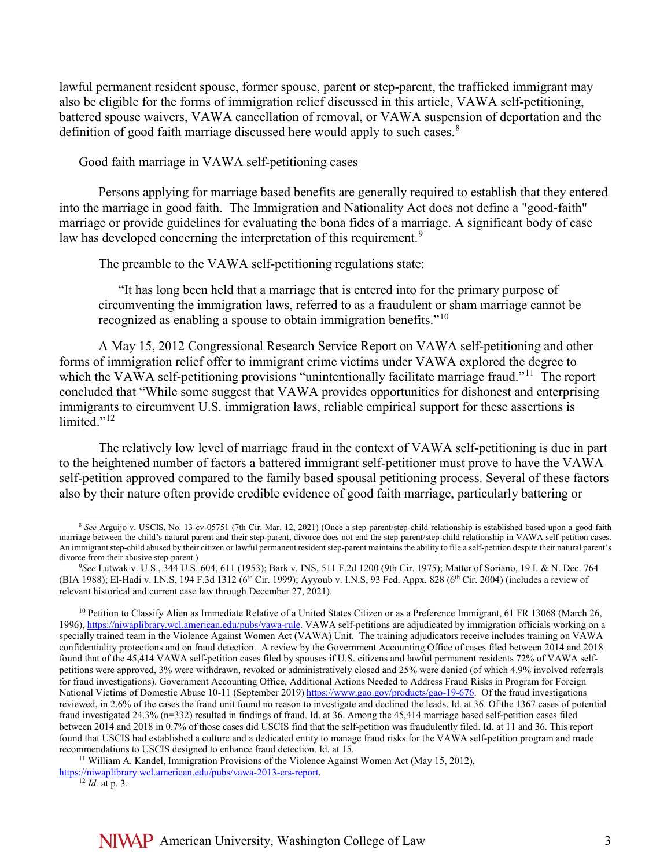lawful permanent resident spouse, former spouse, parent or step-parent, the trafficked immigrant may also be eligible for the forms of immigration relief discussed in this article, VAWA self-petitioning, battered spouse waivers, VAWA cancellation of removal, or VAWA suspension of deportation and the definition of good faith marriage discussed here would apply to such cases.<sup>[8](#page-2-0)</sup>

### Good faith marriage in VAWA self-petitioning cases

Persons applying for marriage based benefits are generally required to establish that they entered into the marriage in good faith. The Immigration and Nationality Act does not define a "good-faith" marriage or provide guidelines for evaluating the bona fides of a marriage. A significant body of case law has developed concerning the interpretation of this requirement.<sup>[9](#page-2-1)</sup>

The preamble to the VAWA self-petitioning regulations state:

"It has long been held that a marriage that is entered into for the primary purpose of circumventing the immigration laws, referred to as a fraudulent or sham marriage cannot be recognized as enabling a spouse to obtain immigration benefits."<sup>10</sup>

A May 15, 2012 Congressional Research Service Report on VAWA self-petitioning and other forms of immigration relief offer to immigrant crime victims under VAWA explored the degree to which the VAWA self-petitioning provisions "unintentionally facilitate marriage fraud."<sup>11</sup> The report concluded that "While some suggest that VAWA provides opportunities for dishonest and enterprising immigrants to circumvent U.S. immigration laws, reliable empirical support for these assertions is limited."<sup>[12](#page-2-4)</sup>

The relatively low level of marriage fraud in the context of VAWA self-petitioning is due in part to the heightened number of factors a battered immigrant self-petitioner must prove to have the VAWA self-petition approved compared to the family based spousal petitioning process. Several of these factors also by their nature often provide credible evidence of good faith marriage, particularly battering or

<span id="page-2-0"></span> <sup>8</sup> *See* Arguijo v. USCIS, No. 13-cv-05751 (7th Cir. Mar. 12, 2021) (Once <sup>a</sup> step-parent/step-child relationship is established based upon <sup>a</sup> good faith marriage between the child's natural parent and their step-parent, divorce does not end the step-parent/step-child relationship in VAWA self-petition cases. An immigrant step-child abused by their citizen or lawful permanent resident step-parent maintainsthe ability to file a self-petition despite their natural parent's divorce from their abusive step-parent.)

<span id="page-2-1"></span><sup>9</sup>*See* Lutwak v. U.S., 344 U.S. 604, 611 (1953); Bark v. INS, 511 F.2d 1200 (9th Cir. 1975); Matter of Soriano, 19 I. & N. Dec. 764 (BIA 1988); El-Hadi v. I.N.S, 194 F.3d 1312 (6<sup>th</sup> Cir. 1999); Ayyoub v. I.N.S, 93 Fed. Appx. 828 (6<sup>th</sup> Cir. 2004) (includes a review of relevant historical and current case law through December 27, 2021).

<span id="page-2-2"></span><sup>&</sup>lt;sup>10</sup> Petition to Classify Alien as Immediate Relative of a United States Citizen or as a Preference Immigrant, 61 FR 13068 (March 26, 1996)[, https://niwaplibrary.wcl.american.edu/pubs/vawa-rule.](https://niwaplibrary.wcl.american.edu/pubs/vawa-rule) VAWA self-petitions are adjudicated by immigration officials working on a specially trained team in the Violence Against Women Act (VAWA) Unit. The training adjudicators receive includes training on VAWA confidentiality protections and on fraud detection. A review by the Government Accounting Office of cases filed between 2014 and 2018 found that of the 45,414 VAWA self-petition cases filed by spouses if U.S. citizens and lawful permanent residents 72% of VAWA selfpetitions were approved, 3% were withdrawn, revoked or administratively closed and 25% were denied (of which 4.9% involved referrals for fraud investigations). Government Accounting Office, Additional Actions Needed to Address Fraud Risks in Program for Foreign National Victims of Domestic Abuse 10-11 (September 2019) [https://www.gao.gov/products/gao-19-676.](https://www.gao.gov/products/gao-19-676) Of the fraud investigations reviewed, in 2.6% of the cases the fraud unit found no reason to investigate and declined the leads. Id. at 36. Of the 1367 cases of potential fraud investigated 24.3% (n=332) resulted in findings of fraud. Id. at 36. Among the 45,414 marriage based self-petition cases filed between 2014 and 2018 in 0.7% of those cases did USCIS find that the self-petition was fraudulently filed. Id. at 11 and 36. This report found that USCIS had established a culture and a dedicated entity to manage fraud risks for the VAWA self-petition program and made recommendations to USCIS designed to enhance fraud detection. Id. at 15.<br><sup>11</sup> William A. Kandel, Immigration Provisions of the Violence Against Women Act (May 15, 2012),

<span id="page-2-4"></span><span id="page-2-3"></span>[https://niwaplibrary.wcl.american.edu/pubs/vawa-2013-crs-report.](https://niwaplibrary.wcl.american.edu/pubs/vawa-2013-crs-report)

<sup>12</sup> *Id.* at p. 3.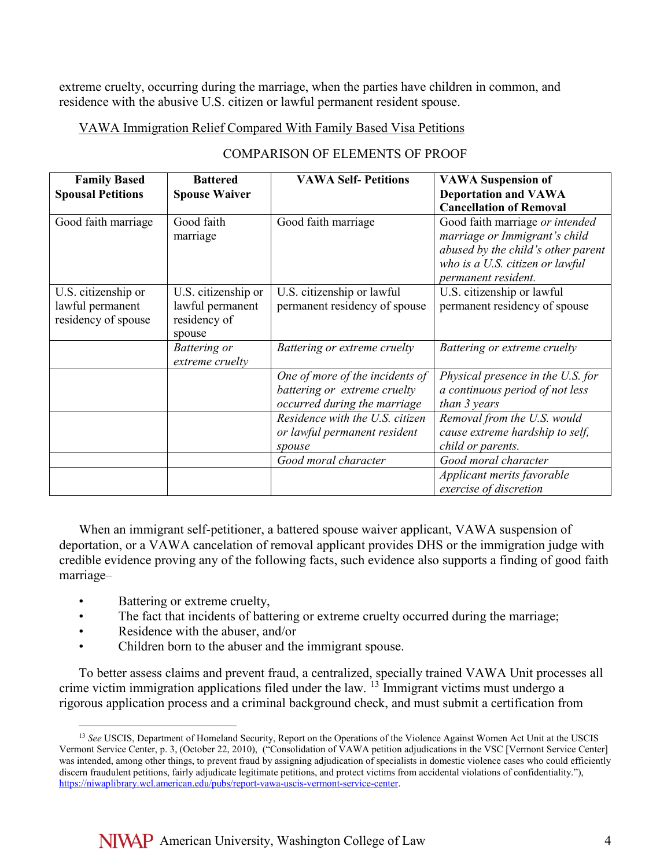extreme cruelty, occurring during the marriage, when the parties have children in common, and residence with the abusive U.S. citizen or lawful permanent resident spouse.

## VAWA Immigration Relief Compared With Family Based Visa Petitions

| <b>Family Based</b>      | <b>Battered</b>      | <b>VAWA Self-Petitions</b>      | <b>VAWA Suspension of</b>          |
|--------------------------|----------------------|---------------------------------|------------------------------------|
| <b>Spousal Petitions</b> | <b>Spouse Waiver</b> |                                 | <b>Deportation and VAWA</b>        |
|                          |                      |                                 | <b>Cancellation of Removal</b>     |
| Good faith marriage      | Good faith           | Good faith marriage             | Good faith marriage or intended    |
|                          | marriage             |                                 | marriage or Immigrant's child      |
|                          |                      |                                 | abused by the child's other parent |
|                          |                      |                                 | who is a U.S. citizen or lawful    |
|                          |                      |                                 | permanent resident.                |
| U.S. citizenship or      | U.S. citizenship or  | U.S. citizenship or lawful      | U.S. citizenship or lawful         |
| lawful permanent         | lawful permanent     | permanent residency of spouse   | permanent residency of spouse      |
| residency of spouse      | residency of         |                                 |                                    |
|                          | spouse               |                                 |                                    |
|                          | Battering or         | Battering or extreme cruelty    | Battering or extreme cruelty       |
|                          | extreme cruelty      |                                 |                                    |
|                          |                      | One of more of the incidents of | Physical presence in the U.S. for  |
|                          |                      | battering or extreme cruelty    | a continuous period of not less    |
|                          |                      | occurred during the marriage    | than 3 years                       |
|                          |                      | Residence with the U.S. citizen | Removal from the U.S. would        |
|                          |                      | or lawful permanent resident    | cause extreme hardship to self,    |
|                          |                      | spouse                          | child or parents.                  |
|                          |                      | Good moral character            | Good moral character               |
|                          |                      |                                 | Applicant merits favorable         |
|                          |                      |                                 | exercise of discretion             |

When an immigrant self-petitioner, a battered spouse waiver applicant, VAWA suspension of deportation, or a VAWA cancelation of removal applicant provides DHS or the immigration judge with credible evidence proving any of the following facts, such evidence also supports a finding of good faith marriage–

- Battering or extreme cruelty,
- The fact that incidents of battering or extreme cruelty occurred during the marriage;
- Residence with the abuser, and/or
- Children born to the abuser and the immigrant spouse.

To better assess claims and prevent fraud, a centralized, specially trained VAWA Unit processes all crime victim immigration applications filed under the law.  $13$  Immigrant victims must undergo a rigorous application process and a criminal background check, and must submit a certification from

<span id="page-3-0"></span> <sup>13</sup> *See* USCIS, Department of Homeland Security, Report on the Operations of the Violence Against Women Act Unit at the USCIS Vermont Service Center, p. 3, (October 22, 2010), ("Consolidation of VAWA petition adjudications in the VSC [Vermont Service Center] was intended, among other things, to prevent fraud by assigning adjudication of specialists in domestic violence cases who could efficiently discern fraudulent petitions, fairly adjudicate legitimate petitions, and protect victims from accidental violations of confidentiality."), [https://niwaplibrary.wcl.american.edu/pubs/report-vawa-uscis-vermont-service-center.](https://niwaplibrary.wcl.american.edu/pubs/report-vawa-uscis-vermont-service-center)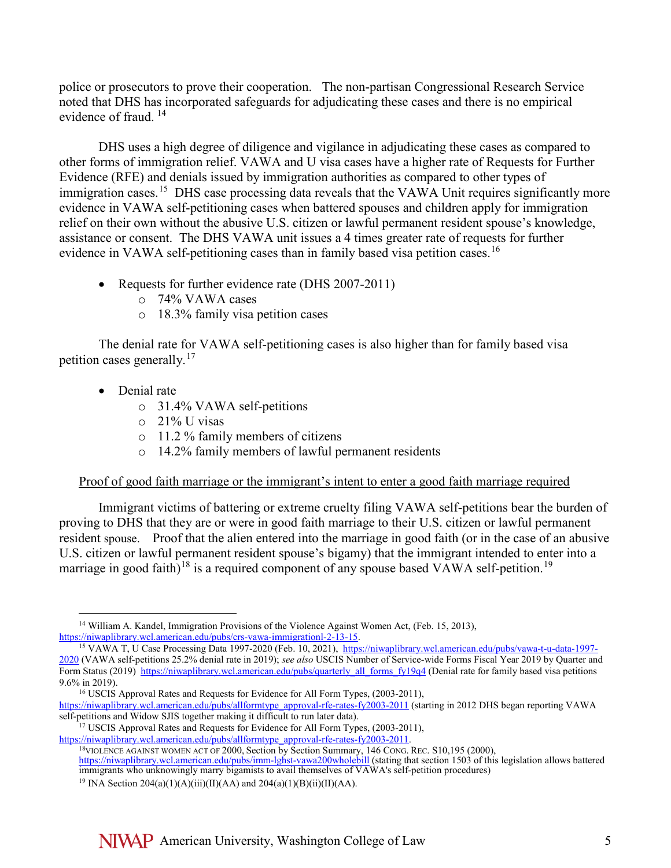police or prosecutors to prove their cooperation. The non-partisan Congressional Research Service noted that DHS has incorporated safeguards for adjudicating these cases and there is no empirical evidence of fraud. [14](#page-4-0) 

DHS uses a high degree of diligence and vigilance in adjudicating these cases as compared to other forms of immigration relief. VAWA and U visa cases have a higher rate of Requests for Further Evidence (RFE) and denials issued by immigration authorities as compared to other types of immigration cases.<sup>[15](#page-4-1)</sup> DHS case processing data reveals that the VAWA Unit requires significantly more evidence in VAWA self-petitioning cases when battered spouses and children apply for immigration relief on their own without the abusive U.S. citizen or lawful permanent resident spouse's knowledge, assistance or consent. The DHS VAWA unit issues a 4 times greater rate of requests for further evidence in VAWA self-petitioning cases than in family based visa petition cases.<sup>[16](#page-4-2)</sup>

- Requests for further evidence rate (DHS 2007-2011)
	- o 74% VAWA cases
	- o 18.3% family visa petition cases

The denial rate for VAWA self-petitioning cases is also higher than for family based visa petition cases generally.[17](#page-4-3)

- Denial rate
	- o 31.4% VAWA self-petitions
	- o 21% U visas
	- o 11.2 % family members of citizens
	- o 14.2% family members of lawful permanent residents

### Proof of good faith marriage or the immigrant's intent to enter a good faith marriage required

Immigrant victims of battering or extreme cruelty filing VAWA self-petitions bear the burden of proving to DHS that they are or were in good faith marriage to their U.S. citizen or lawful permanent resident spouse. Proof that the alien entered into the marriage in good faith (or in the case of an abusive U.S. citizen or lawful permanent resident spouse's bigamy) that the immigrant intended to enter into a marriage in good faith)<sup>[18](#page-4-4)</sup> is a required component of any spouse based VAWA self-petition.<sup>19</sup>

<span id="page-4-0"></span><sup>&</sup>lt;sup>14</sup> William A. Kandel, Immigration Provisions of the Violence Against Women Act, (Feb. 15, 2013), [https://niwaplibrary.wcl.american.edu/pubs/crs-vawa-immigrationl-2-13-15.](https://niwaplibrary.wcl.american.edu/pubs/crs-vawa-immigrationl-2-13-15)

<span id="page-4-1"></span><sup>&</sup>lt;sup>15</sup> VAWA T, U Case Processing Data 1997-2020 (Feb. 10, 2021), [https://niwaplibrary.wcl.american.edu/pubs/vawa-t-u-data-1997-](https://niwaplibrary.wcl.american.edu/pubs/vawa-t-u-data-1997-2020) [2020](https://niwaplibrary.wcl.american.edu/pubs/vawa-t-u-data-1997-2020) (VAWA self-petitions 25.2% denial rate in 2019); *see also* USCIS Number of Service-wide Forms Fiscal Year 2019 by Quarter and Form Status (2019) https://niwaplibrary.wcl.american.edu/pubs/quarterly all forms fy19q4 (Denial rate for family based visa petitions 9.6% in 2019).<br><sup>16</sup> USCIS Approval Rates and Requests for Evidence for All Form Types, (2003-2011),

<span id="page-4-2"></span>[https://niwaplibrary.wcl.american.edu/pubs/allformtype\\_approval-rfe-rates-fy2003-2011](https://niwaplibrary.wcl.american.edu/pubs/allformtype_approval-rfe-rates-fy2003-2011) (starting in 2012 DHS began reporting VAWA self-petitions and Widow SJIS together making it difficult to run later data).

<span id="page-4-3"></span><sup>&</sup>lt;sup>17</sup> USCIS Approval Rates and Requests for Evidence for All Form Types, (2003-2011), https://niwaplibrary.wcl.american.edu/pubs/allformtype\_approval-rfe-rates-fy2003-2011.

<span id="page-4-5"></span><span id="page-4-4"></span>

<sup>&</sup>lt;sup>18</sup>VIOLENCE AGAINST WOMEN ACT OF 2000, Section by Section Summary, 146 CONG. REC. S10,195 (2000), <https://niwaplibrary.wcl.american.edu/pubs/imm-lghst-vawa200wholebill> (stating that section 1503 of this legislation allows battered immigrants who unknowingly marry bigamists to avail themselves of VAWA's self-petition procedures)

<sup>&</sup>lt;sup>19</sup> INA Section 204(a)(1)(A)(iii)(II)(AA) and 204(a)(1)(B)(ii)(II)(AA).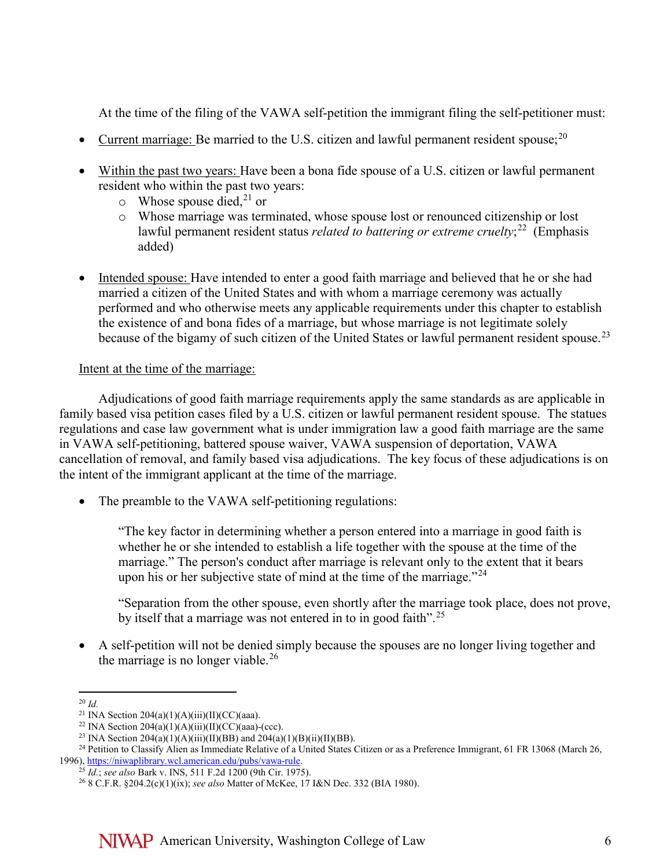At the time of the filing of the VAWA self-petition the immigrant filing the self-petitioner must:

- Current marriage: Be married to the U.S. citizen and lawful permanent resident spouse;  $^{20}$  $^{20}$  $^{20}$
- Within the past two years: Have been a bona fide spouse of a U.S. citizen or lawful permanent resident who within the past two years:
	- $\circ$  Whose spouse died,<sup>[21](#page-5-1)</sup> or
	- o Whose marriage was terminated, whose spouse lost or renounced citizenship or lost lawful permanent resident status *related to battering or extreme cruelty*; [22](#page-5-2) (Emphasis added)
- Intended spouse: Have intended to enter a good faith marriage and believed that he or she had married a citizen of the United States and with whom a marriage ceremony was actually performed and who otherwise meets any applicable requirements under this chapter to establish the existence of and bona fides of a marriage, but whose marriage is not legitimate solely because of the bigamy of such citizen of the United States or lawful permanent resident spouse.<sup>[23](#page-5-3)</sup>

## Intent at the time of the marriage:

Adjudications of good faith marriage requirements apply the same standards as are applicable in family based visa petition cases filed by a U.S. citizen or lawful permanent resident spouse. The statues regulations and case law government what is under immigration law a good faith marriage are the same in VAWA self-petitioning, battered spouse waiver, VAWA suspension of deportation, VAWA cancellation of removal, and family based visa adjudications. The key focus of these adjudications is on the intent of the immigrant applicant at the time of the marriage.

• The preamble to the VAWA self-petitioning regulations:

"The key factor in determining whether a person entered into a marriage in good faith is whether he or she intended to establish a life together with the spouse at the time of the marriage." The person's conduct after marriage is relevant only to the extent that it bears upon his or her subjective state of mind at the time of the marriage. $124$  $124$ 

"Separation from the other spouse, even shortly after the marriage took place, does not prove, by itself that a marriage was not entered in to in good faith".<sup>[25](#page-5-5)</sup>

• A self-petition will not be denied simply because the spouses are no longer living together and the marriage is no longer viable.<sup>[26](#page-5-6)</sup>

<sup>&</sup>lt;sup>20</sup> *Id.* <br><sup>21</sup> INA Section 204(a)(1)(A)(iii)(II)(CC)(aaa).

<span id="page-5-4"></span><span id="page-5-3"></span><span id="page-5-2"></span><span id="page-5-1"></span><span id="page-5-0"></span><sup>&</sup>lt;sup>22</sup> INA Section 204(a)(1)(A)(iii)(II)(CC)(aaa)-(ccc).<br><sup>23</sup> INA Section 204(a)(1)(A)(iii)(II)(BB) and 204(a)(1)(B)(ii)(II)(BB).<br><sup>24</sup> Petition to Classify Alien as Immediate Relative of a United States Citizen or as a Pref 1996)[, https://niwaplibrary.wcl.american.edu/pubs/vawa-rule.](https://niwaplibrary.wcl.american.edu/pubs/vawa-rule)

<span id="page-5-6"></span><span id="page-5-5"></span><sup>25</sup> *Id.*; *see also* Bark v. INS, 511 F.2d 1200 (9th Cir. 1975).

<sup>26</sup> 8 C.F.R. §204.2(c)(1)(ix); *see also* Matter of McKee, 17 I&N Dec. 332 (BIA 1980).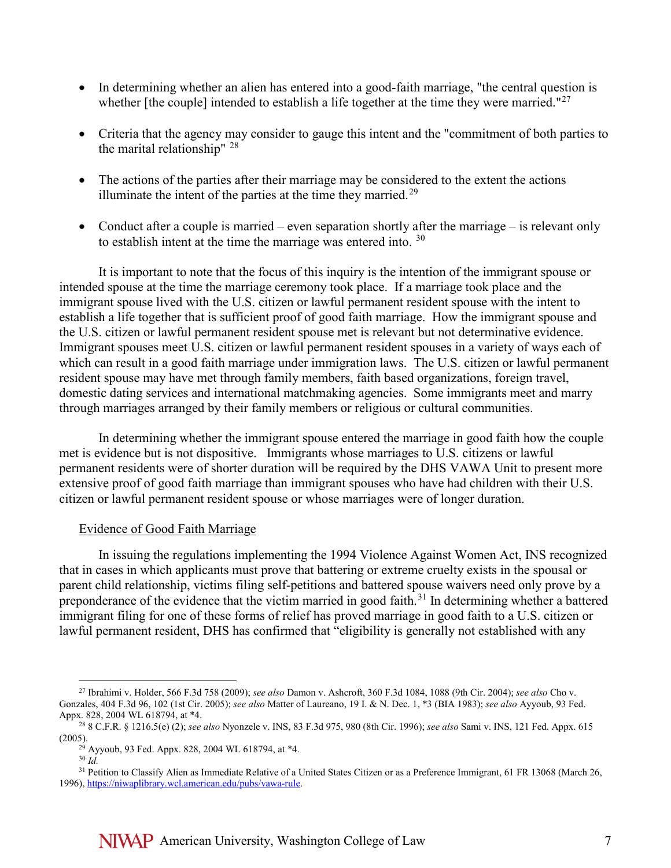- In determining whether an alien has entered into a good-faith marriage, "the central question is whether [the couple] intended to establish a life together at the time they were married."<sup>[27](#page-6-0)</sup>
- Criteria that the agency may consider to gauge this intent and the "commitment of both parties to the marital relationship"  $28$
- The actions of the parties after their marriage may be considered to the extent the actions illuminate the intent of the parties at the time they married. $29$
- Conduct after a couple is married even separation shortly after the marriage is relevant only to establish intent at the time the marriage was entered into.  $30$

It is important to note that the focus of this inquiry is the intention of the immigrant spouse or intended spouse at the time the marriage ceremony took place. If a marriage took place and the immigrant spouse lived with the U.S. citizen or lawful permanent resident spouse with the intent to establish a life together that is sufficient proof of good faith marriage. How the immigrant spouse and the U.S. citizen or lawful permanent resident spouse met is relevant but not determinative evidence. Immigrant spouses meet U.S. citizen or lawful permanent resident spouses in a variety of ways each of which can result in a good faith marriage under immigration laws. The U.S. citizen or lawful permanent resident spouse may have met through family members, faith based organizations, foreign travel, domestic dating services and international matchmaking agencies. Some immigrants meet and marry through marriages arranged by their family members or religious or cultural communities.

In determining whether the immigrant spouse entered the marriage in good faith how the couple met is evidence but is not dispositive. Immigrants whose marriages to U.S. citizens or lawful permanent residents were of shorter duration will be required by the DHS VAWA Unit to present more extensive proof of good faith marriage than immigrant spouses who have had children with their U.S. citizen or lawful permanent resident spouse or whose marriages were of longer duration.

### Evidence of Good Faith Marriage

In issuing the regulations implementing the 1994 Violence Against Women Act, INS recognized that in cases in which applicants must prove that battering or extreme cruelty exists in the spousal or parent child relationship, victims filing self-petitions and battered spouse waivers need only prove by a preponderance of the evidence that the victim married in good faith.<sup>[31](#page-6-4)</sup> In determining whether a battered immigrant filing for one of these forms of relief has proved marriage in good faith to a U.S. citizen or lawful permanent resident, DHS has confirmed that "eligibility is generally not established with any

<span id="page-6-0"></span> <sup>27</sup> Ibrahimi v. Holder, 566 F.3d 758 (2009); *see also* Damon v. Ashcroft, 360 F.3d 1084, 1088 (9th Cir. 2004); *see also* Cho v. Gonzales, 404 F.3d 96, 102 (1st Cir. 2005); *see also* Matter of Laureano, 19 I. & N. Dec. 1, \*3 (BIA 1983); *see also* Ayyoub, 93 Fed.

<span id="page-6-2"></span><span id="page-6-1"></span>Appx. 828, 2004 WL 618794, at \*4. 28 8 C.F.R. § 1216.5(e) (2); *see also* Nyonzele v. INS, 83 F.3d 975, 980 (8th Cir. 1996); *see also* Sami v. INS, 121 Fed. Appx. 615 (2005). 29 Ayyoub, 93 Fed. Appx. 828, 2004 WL 618794, at \*4.

<sup>30</sup> *Id.*

<span id="page-6-4"></span><span id="page-6-3"></span><sup>&</sup>lt;sup>31</sup> Petition to Classify Alien as Immediate Relative of a United States Citizen or as a Preference Immigrant, 61 FR 13068 (March 26, 1996)[, https://niwaplibrary.wcl.american.edu/pubs/vawa-rule.](https://niwaplibrary.wcl.american.edu/pubs/vawa-rule)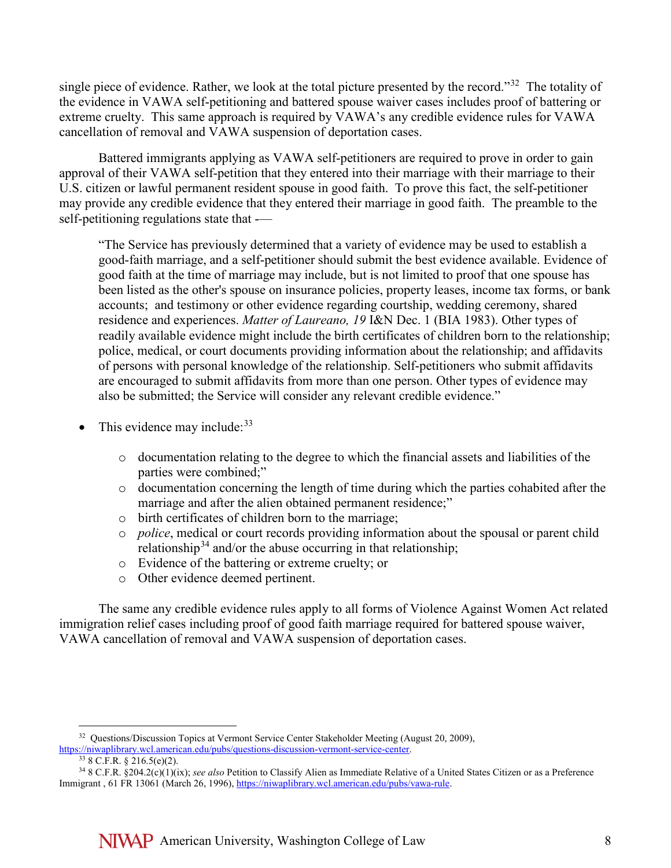single piece of evidence. Rather, we look at the total picture presented by the record."<sup>[32](#page-7-0)</sup> The totality of the evidence in VAWA self-petitioning and battered spouse waiver cases includes proof of battering or extreme cruelty. This same approach is required by VAWA's any credible evidence rules for VAWA cancellation of removal and VAWA suspension of deportation cases.

Battered immigrants applying as VAWA self-petitioners are required to prove in order to gain approval of their VAWA self-petition that they entered into their marriage with their marriage to their U.S. citizen or lawful permanent resident spouse in good faith. To prove this fact, the self-petitioner may provide any credible evidence that they entered their marriage in good faith. The preamble to the self-petitioning regulations state that -—

"The Service has previously determined that a variety of evidence may be used to establish a good-faith marriage, and a self-petitioner should submit the best evidence available. Evidence of good faith at the time of marriage may include, but is not limited to proof that one spouse has been listed as the other's spouse on insurance policies, property leases, income tax forms, or bank accounts; and testimony or other evidence regarding courtship, wedding ceremony, shared residence and experiences. *Matter of Laureano, 19* I&N Dec. 1 (BIA 1983). Other types of readily available evidence might include the birth certificates of children born to the relationship; police, medical, or court documents providing information about the relationship; and affidavits of persons with personal knowledge of the relationship. Self-petitioners who submit affidavits are encouraged to submit affidavits from more than one person. Other types of evidence may also be submitted; the Service will consider any relevant credible evidence."

- This evidence may include:  $33$ 
	- o documentation relating to the degree to which the financial assets and liabilities of the parties were combined;"
	- o documentation concerning the length of time during which the parties cohabited after the marriage and after the alien obtained permanent residence;"
	- o birth certificates of children born to the marriage;
	- o *police*, medical or court records providing information about the spousal or parent child relationship<sup>[34](#page-7-2)</sup> and/or the abuse occurring in that relationship;
	- o Evidence of the battering or extreme cruelty; or
	- o Other evidence deemed pertinent.

The same any credible evidence rules apply to all forms of Violence Against Women Act related immigration relief cases including proof of good faith marriage required for battered spouse waiver, VAWA cancellation of removal and VAWA suspension of deportation cases.

<span id="page-7-0"></span><sup>&</sup>lt;sup>32</sup> Questions/Discussion Topics at Vermont Service Center Stakeholder Meeting (August 20, 2009), https://niwaplibrary.wcl.american.edu/pubs/questions-discussion-vermont-service-center.<br>
<sup>33</sup> 8 C.F.R. § 216.5(e)(2).

<span id="page-7-2"></span><span id="page-7-1"></span><sup>34</sup> 8 C.F.R. §204.2(c)(1)(ix); *see also* Petition to Classify Alien as Immediate Relative of a United States Citizen or as a Preference Immigrant , 61 FR 13061 (March 26, 1996), [https://niwaplibrary.wcl.american.edu/pubs/vawa-rule.](https://niwaplibrary.wcl.american.edu/pubs/vawa-rule)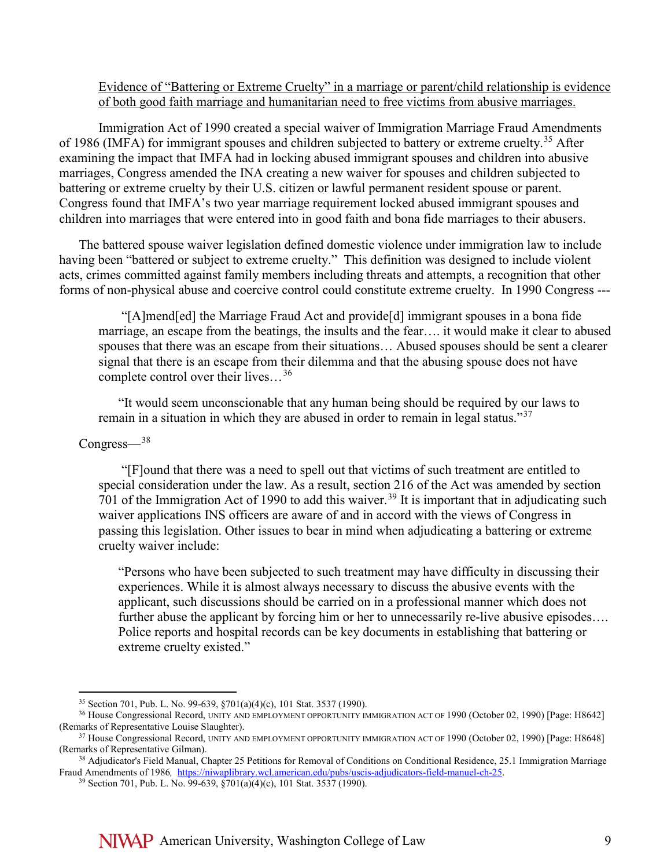### Evidence of "Battering or Extreme Cruelty" in a marriage or parent/child relationship is evidence of both good faith marriage and humanitarian need to free victims from abusive marriages.

Immigration Act of 1990 created a special waiver of Immigration Marriage Fraud Amendments of 1986 (IMFA) for immigrant spouses and children subjected to battery or extreme cruelty.<sup>[35](#page-8-0)</sup> After examining the impact that IMFA had in locking abused immigrant spouses and children into abusive marriages, Congress amended the INA creating a new waiver for spouses and children subjected to battering or extreme cruelty by their U.S. citizen or lawful permanent resident spouse or parent. Congress found that IMFA's two year marriage requirement locked abused immigrant spouses and children into marriages that were entered into in good faith and bona fide marriages to their abusers.

The battered spouse waiver legislation defined domestic violence under immigration law to include having been "battered or subject to extreme cruelty." This definition was designed to include violent acts, crimes committed against family members including threats and attempts, a recognition that other forms of non-physical abuse and coercive control could constitute extreme cruelty. In 1990 Congress ---

"[A]mend[ed] the Marriage Fraud Act and provide[d] immigrant spouses in a bona fide marriage, an escape from the beatings, the insults and the fear…. it would make it clear to abused spouses that there was an escape from their situations… Abused spouses should be sent a clearer signal that there is an escape from their dilemma and that the abusing spouse does not have complete control over their lives…[36](#page-8-1)

"It would seem unconscionable that any human being should be required by our laws to remain in a situation in which they are abused in order to remain in legal status."<sup>[37](#page-8-2)</sup>

#### Congress—[38](#page-8-3)

"[F]ound that there was a need to spell out that victims of such treatment are entitled to special consideration under the law. As a result, section 216 of the Act was amended by section 701 of the Immigration Act of 1990 to add this waiver.<sup>[39](#page-8-4)</sup> It is important that in adjudicating such waiver applications INS officers are aware of and in accord with the views of Congress in passing this legislation. Other issues to bear in mind when adjudicating a battering or extreme cruelty waiver include:

"Persons who have been subjected to such treatment may have difficulty in discussing their experiences. While it is almost always necessary to discuss the abusive events with the applicant, such discussions should be carried on in a professional manner which does not further abuse the applicant by forcing him or her to unnecessarily re-live abusive episodes.... Police reports and hospital records can be key documents in establishing that battering or extreme cruelty existed."

<span id="page-8-1"></span><span id="page-8-0"></span><sup>&</sup>lt;sup>35</sup> Section 701, Pub. L. No. 99-639, §701(a)(4)(c), 101 Stat. 3537 (1990).<br><sup>36</sup> House Congressional Record, UNITY AND EMPLOYMENT OPPORTUNITY IMMIGRATION ACT OF 1990 (October 02, 1990) [Page: H8642] (Remarks of Representative Louise Slaughter).<br><sup>37</sup> House Congressional Record, UNITY AND EMPLOYMENT OPPORTUNITY IMMIGRATION ACT OF 1990 (October 02, 1990) [Page: H8648]

<span id="page-8-2"></span><sup>(</sup>Remarks of Representative Gilman).

<span id="page-8-4"></span><span id="page-8-3"></span><sup>&</sup>lt;sup>38</sup> Adjudicator's Field Manual, Chapter 25 Petitions for Removal of Conditions on Conditional Residence, 25.1 Immigration Marriage Fraud Amendments of 1986*,* [https://niwaplibrary.wcl.american.edu/pubs/uscis-adjudicators-field-manuel-ch-25.](https://niwaplibrary.wcl.american.edu/pubs/uscis-adjudicators-field-manuel-ch-25) 39 Section 701, Pub. L. No. 99-639, §701(a)(4)(c), 101 Stat. 3537 (1990).